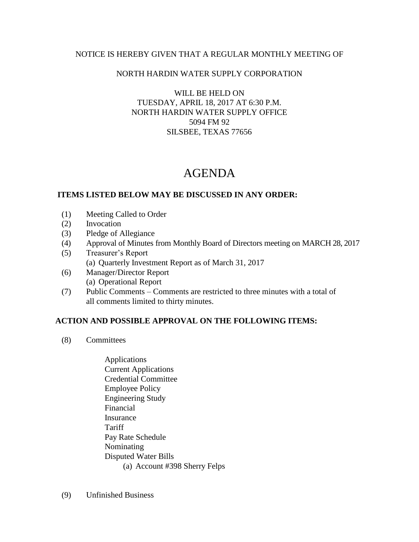### NOTICE IS HEREBY GIVEN THAT A REGULAR MONTHLY MEETING OF

## NORTH HARDIN WATER SUPPLY CORPORATION

WILL BE HELD ON TUESDAY, APRIL 18, 2017 AT 6:30 P.M. NORTH HARDIN WATER SUPPLY OFFICE 5094 FM 92 SILSBEE, TEXAS 77656

# AGENDA

#### **ITEMS LISTED BELOW MAY BE DISCUSSED IN ANY ORDER:**

- (1) Meeting Called to Order
- (2) Invocation
- (3) Pledge of Allegiance
- (4) Approval of Minutes from Monthly Board of Directors meeting on MARCH 28, 2017
- (5) Treasurer's Report (a) Quarterly Investment Report as of March 31, 2017
- (6) Manager/Director Report (a) Operational Report
- (7) Public Comments Comments are restricted to three minutes with a total of all comments limited to thirty minutes.

## **ACTION AND POSSIBLE APPROVAL ON THE FOLLOWING ITEMS:**

- (8) Committees
	- Applications Current Applications Credential Committee Employee Policy Engineering Study Financial Insurance Tariff Pay Rate Schedule Nominating Disputed Water Bills (a) Account #398 Sherry Felps
- (9) Unfinished Business